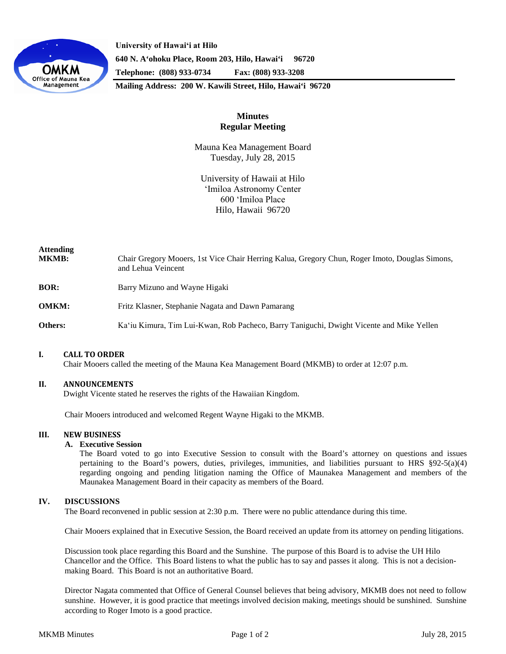

**University of Hawaiʻi at Hilo 640 N. A'ohoku Place, Room 203, Hilo, Hawai'i 96720 Telephone: (808) 933-0734 Fax: (808) 933-3208**

**Mailing Address: 200 W. Kawili Street, Hilo, Hawai'i 96720**

# **Minutes Regular Meeting**

Mauna Kea Management Board Tuesday, July 28, 2015

University of Hawaii at Hilo ʻImiloa Astronomy Center 600 ʻImiloa Place Hilo, Hawaii 96720

| <b>Attending</b><br><b>MKMB:</b> | Chair Gregory Mooers, 1st Vice Chair Herring Kalua, Gregory Chun, Roger Imoto, Douglas Simons,<br>and Lehua Veincent |
|----------------------------------|----------------------------------------------------------------------------------------------------------------------|
| <b>BOR:</b>                      | Barry Mizuno and Wayne Higaki                                                                                        |
| <b>OMKM:</b>                     | Fritz Klasner, Stephanie Nagata and Dawn Pamarang                                                                    |
| Others:                          | Ka'iu Kimura, Tim Lui-Kwan, Rob Pacheco, Barry Taniguchi, Dwight Vicente and Mike Yellen                             |

## **I. CALL TO ORDER**

Chair Mooers called the meeting of the Mauna Kea Management Board (MKMB) to order at 12:07 p.m.

#### **II. ANNOUNCEMENTS**

Dwight Vicente stated he reserves the rights of the Hawaiian Kingdom.

Chair Mooers introduced and welcomed Regent Wayne Higaki to the MKMB.

#### **III. NEW BUSINESS**

#### **A. Executive Session**

The Board voted to go into Executive Session to consult with the Board's attorney on questions and issues pertaining to the Board's powers, duties, privileges, immunities, and liabilities pursuant to HRS §92-5(a)(4) regarding ongoing and pending litigation naming the Office of Maunakea Management and members of the Maunakea Management Board in their capacity as members of the Board.

## **IV. DISCUSSIONS**

The Board reconvened in public session at 2:30 p.m. There were no public attendance during this time.

Chair Mooers explained that in Executive Session, the Board received an update from its attorney on pending litigations.

Discussion took place regarding this Board and the Sunshine. The purpose of this Board is to advise the UH Hilo Chancellor and the Office. This Board listens to what the public has to say and passes it along. This is not a decisionmaking Board. This Board is not an authoritative Board.

Director Nagata commented that Office of General Counsel believes that being advisory, MKMB does not need to follow sunshine. However, it is good practice that meetings involved decision making, meetings should be sunshined. Sunshine according to Roger Imoto is a good practice.